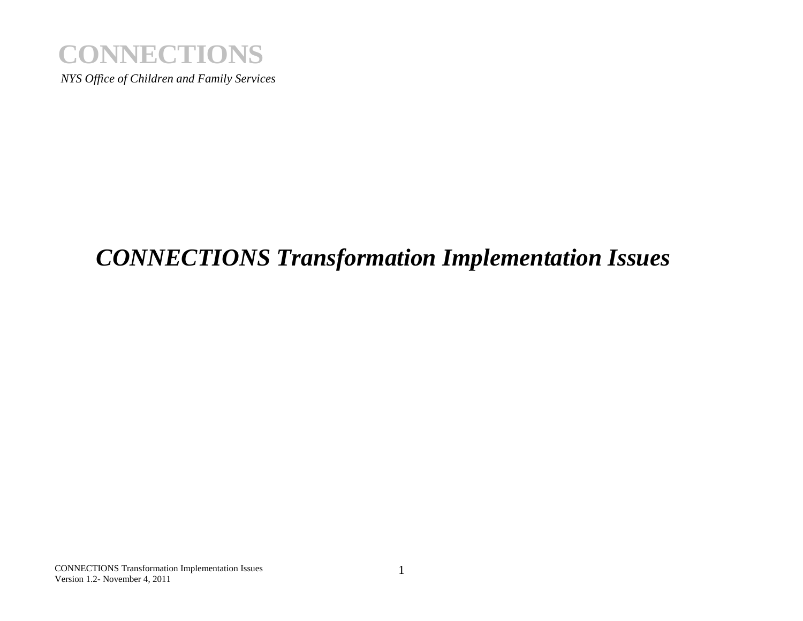

# **CONNECTIONS**<br>
NYS Office of Children and Family Services<br>
<br> **CONNECTIONS Transformation Lagrange 4, 2011**<br>
UVERIONS TRANSPORTED DRIVER 4, 2011<br>
UVERION STRANGER 4, 2011 *CONNECTIONS Transformation Implementation Issues*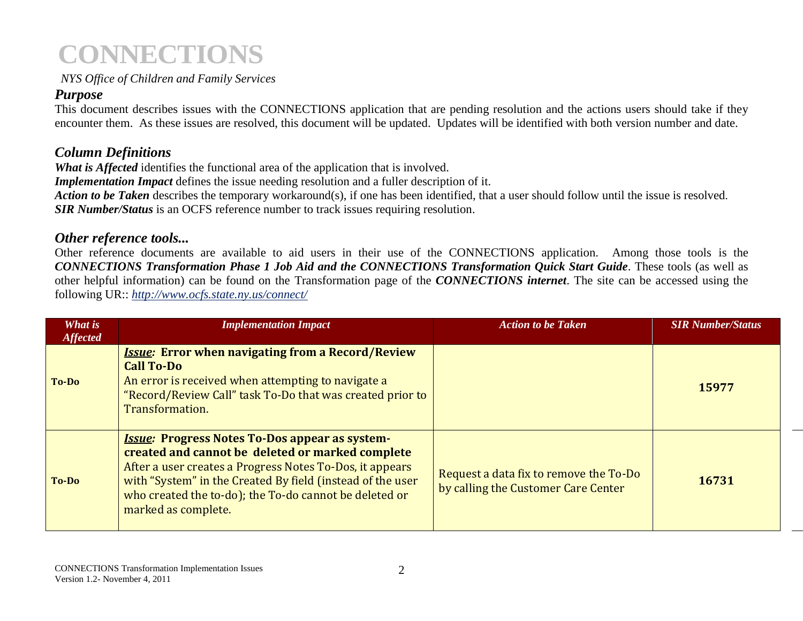# *Purpose*

# *Column Definitions*

# *Other reference tools...*

|                           | <b>CONNECTIONS</b>                                                                                                                                                                                                                                                                                                                                                                                                                      |                                                                                                                                    |                          |
|---------------------------|-----------------------------------------------------------------------------------------------------------------------------------------------------------------------------------------------------------------------------------------------------------------------------------------------------------------------------------------------------------------------------------------------------------------------------------------|------------------------------------------------------------------------------------------------------------------------------------|--------------------------|
|                           | NYS Office of Children and Family Services                                                                                                                                                                                                                                                                                                                                                                                              |                                                                                                                                    |                          |
| <b>Purpose</b>            | This document describes issues with the CONNECTIONS application that are pending resolution and the actions users should take if they<br>encounter them. As these issues are resolved, this document will be updated. Updates will be identified with both version number and date.                                                                                                                                                     |                                                                                                                                    |                          |
| <b>Column Definitions</b> | What is Affected identifies the functional area of the application that is involved.<br><b>Implementation Impact</b> defines the issue needing resolution and a fuller description of it.<br>Action to be Taken describes the temporary workaround(s), if one has been identified, that a user should follow until the issue is resolved.<br><b>SIR Number/Status</b> is an OCFS reference number to track issues requiring resolution. |                                                                                                                                    |                          |
|                           | Other reference tools<br>Other reference documents are available to aid users in their use of the CONNECTIONS application. Among those tools is the<br><b>CONNECTIONS Transformation Phase 1 Job Aid and the CONNECTIONS Transformation Quick Start Guide.</b> These tools (as well as                                                                                                                                                  | other helpful information) can be found on the Transformation page of the CONNECTIONS internet. The site can be accessed using the |                          |
|                           | following UR:: http://www.ocfs.state.ny.us/connect/                                                                                                                                                                                                                                                                                                                                                                                     |                                                                                                                                    |                          |
| What is                   | <b>Implementation Impact</b>                                                                                                                                                                                                                                                                                                                                                                                                            | <b>Action to be Taken</b>                                                                                                          | <b>SIR Number/Status</b> |
| <b>Affected</b><br>To-Do  | <b>Issue: Error when navigating from a Record/Review</b><br><b>Call To-Do</b><br>An error is received when attempting to navigate a<br>"Record/Review Call" task To-Do that was created prior to<br>Transformation.                                                                                                                                                                                                                     |                                                                                                                                    | 15977                    |
| To-Do                     | <b>Issue: Progress Notes To-Dos appear as system-</b><br>created and cannot be deleted or marked complete<br>After a user creates a Progress Notes To-Dos, it appears<br>with "System" in the Created By field (instead of the user<br>who created the to-do); the To-do cannot be deleted or<br>marked as complete.                                                                                                                    | Request a data fix to remove the To-Do<br>by calling the Customer Care Center                                                      | 16731                    |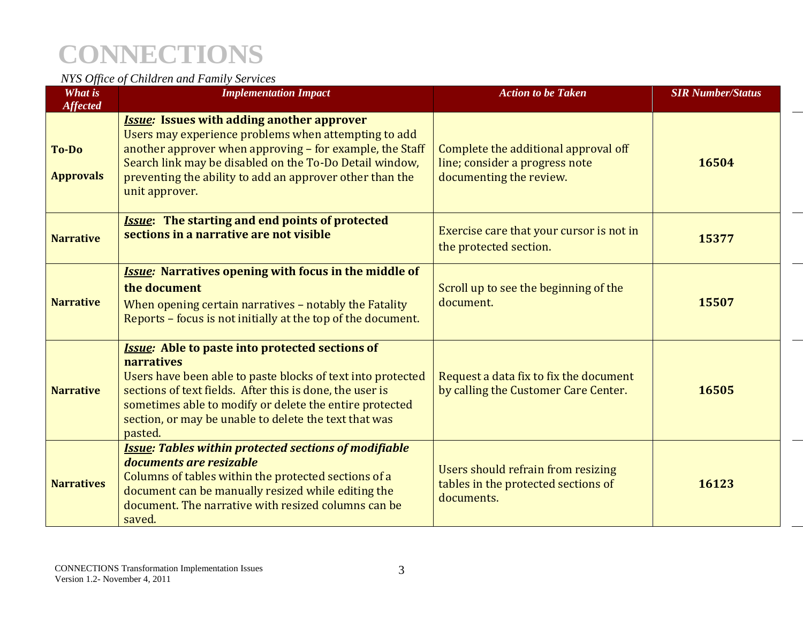| What is                                      | NYS Office of Children and Family Services<br><b>Implementation Impact</b>                                                                                                                                                                                                                                                     | <b>Action to be Taken</b>                                                                         | <b>SIR Number/Status</b> |
|----------------------------------------------|--------------------------------------------------------------------------------------------------------------------------------------------------------------------------------------------------------------------------------------------------------------------------------------------------------------------------------|---------------------------------------------------------------------------------------------------|--------------------------|
| <b>Affected</b><br>To-Do<br><b>Approvals</b> | <b>Issue:</b> Issues with adding another approver<br>Users may experience problems when attempting to add<br>another approver when approving - for example, the Staff<br>Search link may be disabled on the To-Do Detail window,<br>preventing the ability to add an approver other than the<br>unit approver.                 | Complete the additional approval off<br>line; consider a progress note<br>documenting the review. | 16504                    |
| <b>Narrative</b>                             | <b>Issue:</b> The starting and end points of protected<br>sections in a narrative are not visible                                                                                                                                                                                                                              | Exercise care that your cursor is not in<br>the protected section.                                | 15377                    |
| <b>Narrative</b>                             | <b>Issue:</b> Narratives opening with focus in the middle of<br>the document<br>When opening certain narratives - notably the Fatality<br>Reports - focus is not initially at the top of the document.                                                                                                                         | Scroll up to see the beginning of the<br>document.                                                | 15507                    |
| <b>Narrative</b>                             | <b>Issue:</b> Able to paste into protected sections of<br>narratives<br>Users have been able to paste blocks of text into protected<br>sections of text fields. After this is done, the user is<br>sometimes able to modify or delete the entire protected<br>section, or may be unable to delete the text that was<br>pasted. | Request a data fix to fix the document<br>by calling the Customer Care Center.                    | 16505                    |
| <b>Narratives</b>                            | <b>Issue: Tables within protected sections of modifiable</b><br>documents are resizable<br>Columns of tables within the protected sections of a<br>document can be manually resized while editing the<br>document. The narrative with resized columns can be<br>saved.                                                         | Users should refrain from resizing<br>tables in the protected sections of<br>documents.           | 16123                    |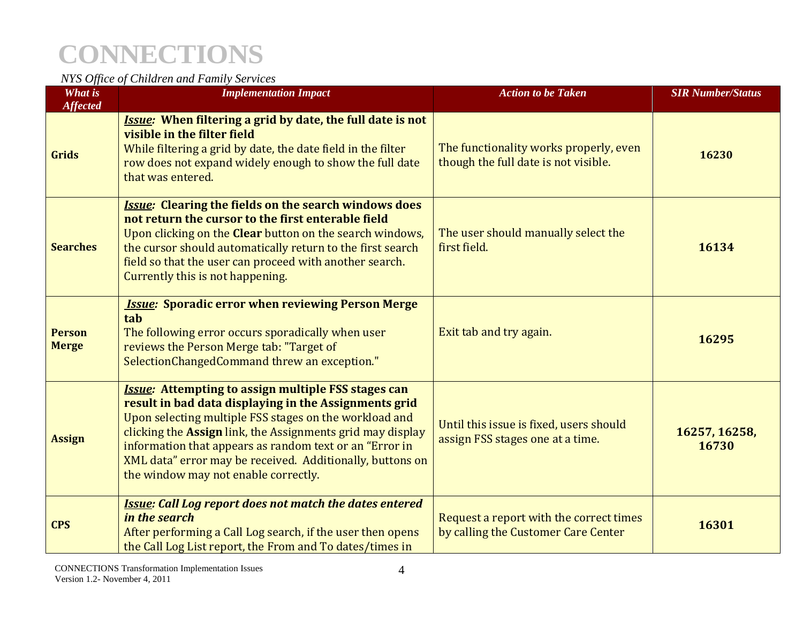|                                   | <b>CONNECTIONS</b>                                                                                                                                                                                                                                                                                                                                                                                          |                                                                                |                          |
|-----------------------------------|-------------------------------------------------------------------------------------------------------------------------------------------------------------------------------------------------------------------------------------------------------------------------------------------------------------------------------------------------------------------------------------------------------------|--------------------------------------------------------------------------------|--------------------------|
|                                   | NYS Office of Children and Family Services                                                                                                                                                                                                                                                                                                                                                                  |                                                                                |                          |
| <b>What is</b><br><b>Affected</b> | <b>Implementation Impact</b>                                                                                                                                                                                                                                                                                                                                                                                | <b>Action to be Taken</b>                                                      | <b>SIR Number/Status</b> |
| <b>Grids</b>                      | <b>Issue:</b> When filtering a grid by date, the full date is not<br>visible in the filter field<br>While filtering a grid by date, the date field in the filter<br>row does not expand widely enough to show the full date<br>that was entered.                                                                                                                                                            | The functionality works properly, even<br>though the full date is not visible. | 16230                    |
| <b>Searches</b>                   | <b>Issue: Clearing the fields on the search windows does</b><br>not return the cursor to the first enterable field<br>Upon clicking on the Clear button on the search windows,<br>the cursor should automatically return to the first search<br>field so that the user can proceed with another search.<br>Currently this is not happening.                                                                 | The user should manually select the<br>first field.                            | 16134                    |
| <b>Person</b><br><b>Merge</b>     | <b>Issue: Sporadic error when reviewing Person Merge</b><br>tab<br>The following error occurs sporadically when user<br>reviews the Person Merge tab: "Target of<br>SelectionChangedCommand threw an exception."                                                                                                                                                                                            | Exit tab and try again.                                                        | 16295                    |
| <b>Assign</b>                     | <b>Issue: Attempting to assign multiple FSS stages can</b><br>result in bad data displaying in the Assignments grid<br>Upon selecting multiple FSS stages on the workload and<br>clicking the Assign link, the Assignments grid may display<br>information that appears as random text or an "Error in<br>XML data" error may be received. Additionally, buttons on<br>the window may not enable correctly. | Until this issue is fixed, users should<br>assign FSS stages one at a time.    | 16257, 16258,<br>16730   |
| <b>CPS</b>                        | <b>Issue: Call Log report does not match the dates entered</b><br>in the search<br>After performing a Call Log search, if the user then opens<br>the Call Log List report, the From and To dates/times in                                                                                                                                                                                                   | Request a report with the correct times<br>by calling the Customer Care Center | 16301                    |
| Version 1.2- November 4, 2011     | <b>CONNECTIONS Transformation Implementation Issues</b><br>4                                                                                                                                                                                                                                                                                                                                                |                                                                                |                          |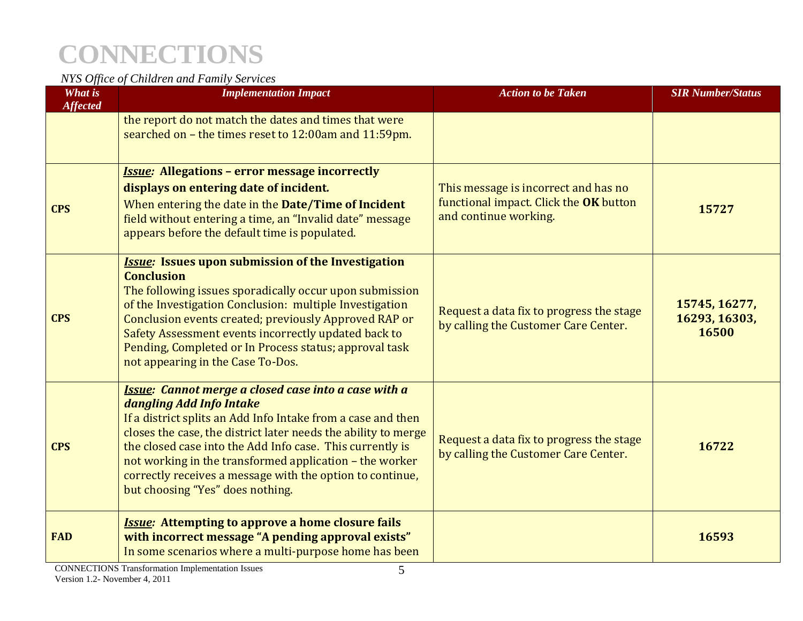|                               | <b>CONNECTIONS</b>                                                                                                                                                                                                                                                                                                                                                                                                                                 |                                                                                                         |                                         |
|-------------------------------|----------------------------------------------------------------------------------------------------------------------------------------------------------------------------------------------------------------------------------------------------------------------------------------------------------------------------------------------------------------------------------------------------------------------------------------------------|---------------------------------------------------------------------------------------------------------|-----------------------------------------|
| What is                       | NYS Office of Children and Family Services<br><b>Implementation Impact</b>                                                                                                                                                                                                                                                                                                                                                                         | <b>Action to be Taken</b>                                                                               | <b>SIR Number/Status</b>                |
| <b>Affected</b>               | the report do not match the dates and times that were<br>searched on - the times reset to 12:00am and 11:59pm.                                                                                                                                                                                                                                                                                                                                     |                                                                                                         |                                         |
| <b>CPS</b>                    | <b>Issue: Allegations - error message incorrectly</b><br>displays on entering date of incident.<br>When entering the date in the Date/Time of Incident<br>field without entering a time, an "Invalid date" message<br>appears before the default time is populated.                                                                                                                                                                                | This message is incorrect and has no<br>functional impact. Click the OK button<br>and continue working. | 15727                                   |
| <b>CPS</b>                    | <b>Issue:</b> Issues upon submission of the Investigation<br><b>Conclusion</b><br>The following issues sporadically occur upon submission<br>of the Investigation Conclusion: multiple Investigation<br>Conclusion events created; previously Approved RAP or<br>Safety Assessment events incorrectly updated back to<br>Pending, Completed or In Process status; approval task<br>not appearing in the Case To-Dos.                               | Request a data fix to progress the stage<br>by calling the Customer Care Center.                        | 15745, 16277,<br>16293, 16303,<br>16500 |
| <b>CPS</b>                    | <b>Issue:</b> Cannot merge a closed case into a case with a<br>dangling Add Info Intake<br>If a district splits an Add Info Intake from a case and then<br>closes the case, the district later needs the ability to merge<br>the closed case into the Add Info case. This currently is<br>not working in the transformed application - the worker<br>correctly receives a message with the option to continue,<br>but choosing "Yes" does nothing. | Request a data fix to progress the stage<br>by calling the Customer Care Center.                        | 16722                                   |
| <b>FAD</b>                    | <b>Issue:</b> Attempting to approve a home closure fails<br>with incorrect message "A pending approval exists"<br>In some scenarios where a multi-purpose home has been                                                                                                                                                                                                                                                                            |                                                                                                         | 16593                                   |
| Version 1.2- November 4, 2011 | <b>CONNECTIONS Transformation Implementation Issues</b><br>5                                                                                                                                                                                                                                                                                                                                                                                       |                                                                                                         |                                         |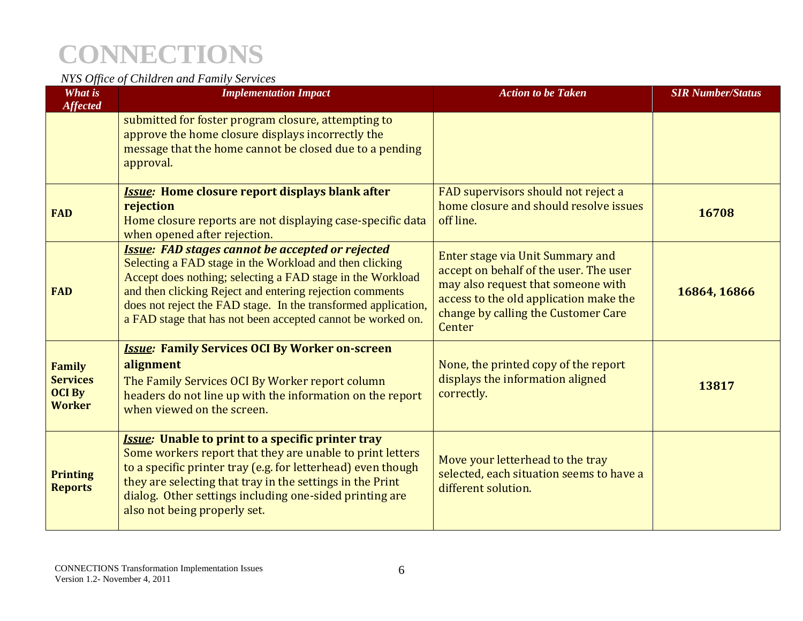|                                                                    | <b>CONNECTIONS</b>                                                                                                                                                                                                                                                                                                                                                            |                                                                                                                                                                                                             |                          |
|--------------------------------------------------------------------|-------------------------------------------------------------------------------------------------------------------------------------------------------------------------------------------------------------------------------------------------------------------------------------------------------------------------------------------------------------------------------|-------------------------------------------------------------------------------------------------------------------------------------------------------------------------------------------------------------|--------------------------|
| What is                                                            | NYS Office of Children and Family Services<br><b>Implementation Impact</b>                                                                                                                                                                                                                                                                                                    | <b>Action to be Taken</b>                                                                                                                                                                                   | <b>SIR Number/Status</b> |
| <b>Affected</b>                                                    | submitted for foster program closure, attempting to<br>approve the home closure displays incorrectly the<br>message that the home cannot be closed due to a pending<br>approval.                                                                                                                                                                                              |                                                                                                                                                                                                             |                          |
| <b>FAD</b>                                                         | <b>Issue:</b> Home closure report displays blank after<br>rejection<br>Home closure reports are not displaying case-specific data<br>when opened after rejection.                                                                                                                                                                                                             | FAD supervisors should not reject a<br>home closure and should resolve issues<br>off line.                                                                                                                  | 16708                    |
| <b>FAD</b>                                                         | <b>Issue: FAD stages cannot be accepted or rejected</b><br>Selecting a FAD stage in the Workload and then clicking<br>Accept does nothing; selecting a FAD stage in the Workload<br>and then clicking Reject and entering rejection comments<br>does not reject the FAD stage. In the transformed application,<br>a FAD stage that has not been accepted cannot be worked on. | Enter stage via Unit Summary and<br>accept on behalf of the user. The user<br>may also request that someone with<br>access to the old application make the<br>change by calling the Customer Care<br>Center | 16864, 16866             |
| <b>Family</b><br><b>Services</b><br><b>OCI By</b><br><b>Worker</b> | <b>Issue: Family Services OCI By Worker on-screen</b><br>alignment<br>The Family Services OCI By Worker report column<br>headers do not line up with the information on the report<br>when viewed on the screen.                                                                                                                                                              | None, the printed copy of the report<br>displays the information aligned<br>correctly.                                                                                                                      | 13817                    |
| <b>Printing</b><br><b>Reports</b>                                  | <b>Issue:</b> Unable to print to a specific printer tray<br>Some workers report that they are unable to print letters<br>to a specific printer tray (e.g. for letterhead) even though<br>they are selecting that tray in the settings in the Print<br>dialog. Other settings including one-sided printing are<br>also not being properly set.                                 | Move your letterhead to the tray<br>selected, each situation seems to have a<br>different solution.                                                                                                         |                          |
| Version 1.2- November 4, 2011                                      | <b>CONNECTIONS Transformation Implementation Issues</b><br>6                                                                                                                                                                                                                                                                                                                  |                                                                                                                                                                                                             |                          |